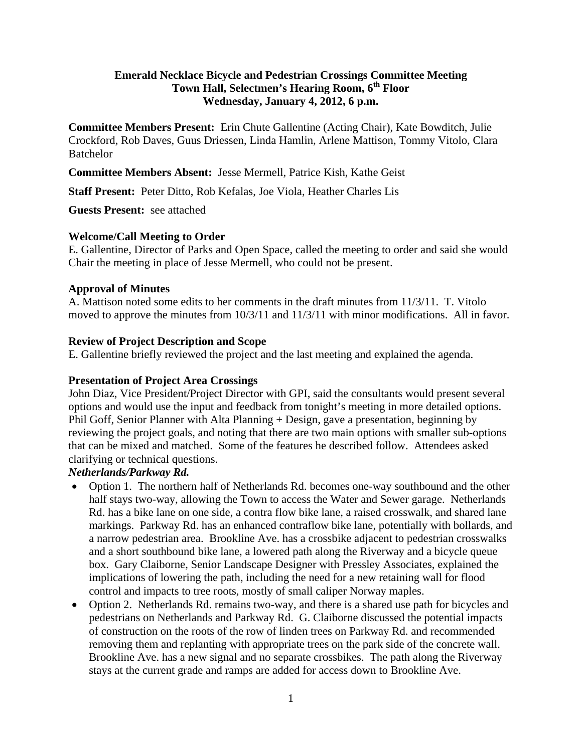## **Emerald Necklace Bicycle and Pedestrian Crossings Committee Meeting Town Hall, Selectmen's Hearing Room, 6th Floor Wednesday, January 4, 2012, 6 p.m.**

**Committee Members Present:** Erin Chute Gallentine (Acting Chair), Kate Bowditch, Julie Crockford, Rob Daves, Guus Driessen, Linda Hamlin, Arlene Mattison, Tommy Vitolo, Clara **Batchelor** 

**Committee Members Absent:** Jesse Mermell, Patrice Kish, Kathe Geist

**Staff Present:** Peter Ditto, Rob Kefalas, Joe Viola, Heather Charles Lis

**Guests Present:** see attached

#### **Welcome/Call Meeting to Order**

E. Gallentine, Director of Parks and Open Space, called the meeting to order and said she would Chair the meeting in place of Jesse Mermell, who could not be present.

#### **Approval of Minutes**

A. Mattison noted some edits to her comments in the draft minutes from 11/3/11. T. Vitolo moved to approve the minutes from 10/3/11 and 11/3/11 with minor modifications. All in favor.

#### **Review of Project Description and Scope**

E. Gallentine briefly reviewed the project and the last meeting and explained the agenda.

#### **Presentation of Project Area Crossings**

John Diaz, Vice President/Project Director with GPI, said the consultants would present several options and would use the input and feedback from tonight's meeting in more detailed options. Phil Goff, Senior Planner with Alta Planning + Design, gave a presentation, beginning by reviewing the project goals, and noting that there are two main options with smaller sub-options that can be mixed and matched. Some of the features he described follow. Attendees asked clarifying or technical questions.

# *Netherlands/Parkway Rd.*

- Option 1. The northern half of Netherlands Rd. becomes one-way southbound and the other half stays two-way, allowing the Town to access the Water and Sewer garage. Netherlands Rd. has a bike lane on one side, a contra flow bike lane, a raised crosswalk, and shared lane markings. Parkway Rd. has an enhanced contraflow bike lane, potentially with bollards, and a narrow pedestrian area. Brookline Ave. has a crossbike adjacent to pedestrian crosswalks and a short southbound bike lane, a lowered path along the Riverway and a bicycle queue box. Gary Claiborne, Senior Landscape Designer with Pressley Associates, explained the implications of lowering the path, including the need for a new retaining wall for flood control and impacts to tree roots, mostly of small caliper Norway maples.
- Option 2. Netherlands Rd. remains two-way, and there is a shared use path for bicycles and pedestrians on Netherlands and Parkway Rd. G. Claiborne discussed the potential impacts of construction on the roots of the row of linden trees on Parkway Rd. and recommended removing them and replanting with appropriate trees on the park side of the concrete wall. Brookline Ave. has a new signal and no separate crossbikes. The path along the Riverway stays at the current grade and ramps are added for access down to Brookline Ave.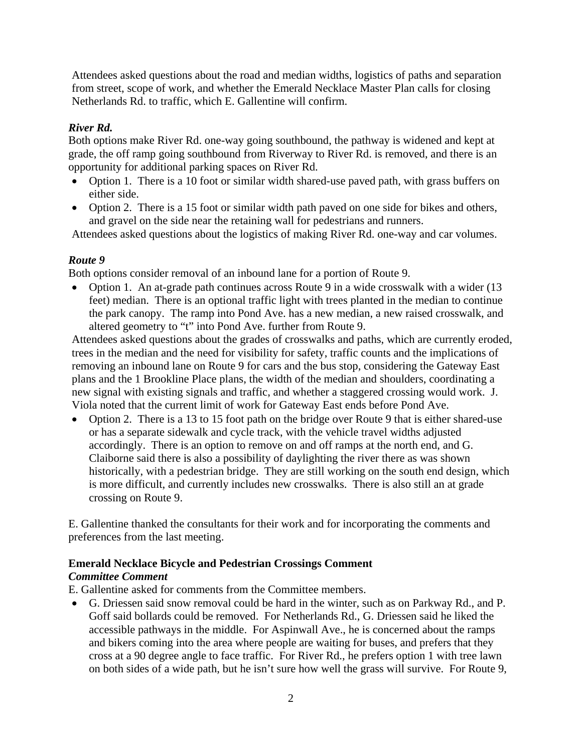Attendees asked questions about the road and median widths, logistics of paths and separation from street, scope of work, and whether the Emerald Necklace Master Plan calls for closing Netherlands Rd. to traffic, which E. Gallentine will confirm.

## *River Rd.*

Both options make River Rd. one-way going southbound, the pathway is widened and kept at grade, the off ramp going southbound from Riverway to River Rd. is removed, and there is an opportunity for additional parking spaces on River Rd.

- Option 1. There is a 10 foot or similar width shared-use paved path, with grass buffers on either side.
- Option 2. There is a 15 foot or similar width path paved on one side for bikes and others, and gravel on the side near the retaining wall for pedestrians and runners.

Attendees asked questions about the logistics of making River Rd. one-way and car volumes.

# *Route 9*

Both options consider removal of an inbound lane for a portion of Route 9.

• Option 1. An at-grade path continues across Route 9 in a wide crosswalk with a wider (13 feet) median. There is an optional traffic light with trees planted in the median to continue the park canopy. The ramp into Pond Ave. has a new median, a new raised crosswalk, and altered geometry to "t" into Pond Ave. further from Route 9.

Attendees asked questions about the grades of crosswalks and paths, which are currently eroded, trees in the median and the need for visibility for safety, traffic counts and the implications of removing an inbound lane on Route 9 for cars and the bus stop, considering the Gateway East plans and the 1 Brookline Place plans, the width of the median and shoulders, coordinating a new signal with existing signals and traffic, and whether a staggered crossing would work. J. Viola noted that the current limit of work for Gateway East ends before Pond Ave.

• Option 2. There is a 13 to 15 foot path on the bridge over Route 9 that is either shared-use or has a separate sidewalk and cycle track, with the vehicle travel widths adjusted accordingly. There is an option to remove on and off ramps at the north end, and G. Claiborne said there is also a possibility of daylighting the river there as was shown historically, with a pedestrian bridge. They are still working on the south end design, which is more difficult, and currently includes new crosswalks. There is also still an at grade crossing on Route 9.

E. Gallentine thanked the consultants for their work and for incorporating the comments and preferences from the last meeting.

## **Emerald Necklace Bicycle and Pedestrian Crossings Comment**

## *Committee Comment*

E. Gallentine asked for comments from the Committee members.

 G. Driessen said snow removal could be hard in the winter, such as on Parkway Rd., and P. Goff said bollards could be removed. For Netherlands Rd., G. Driessen said he liked the accessible pathways in the middle. For Aspinwall Ave., he is concerned about the ramps and bikers coming into the area where people are waiting for buses, and prefers that they cross at a 90 degree angle to face traffic. For River Rd., he prefers option 1 with tree lawn on both sides of a wide path, but he isn't sure how well the grass will survive. For Route 9,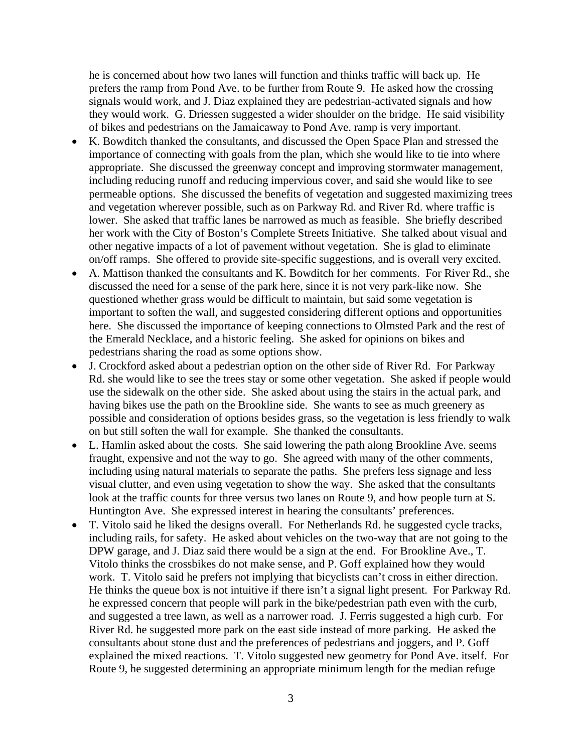he is concerned about how two lanes will function and thinks traffic will back up. He prefers the ramp from Pond Ave. to be further from Route 9. He asked how the crossing signals would work, and J. Diaz explained they are pedestrian-activated signals and how they would work. G. Driessen suggested a wider shoulder on the bridge. He said visibility of bikes and pedestrians on the Jamaicaway to Pond Ave. ramp is very important.

- K. Bowditch thanked the consultants, and discussed the Open Space Plan and stressed the importance of connecting with goals from the plan, which she would like to tie into where appropriate. She discussed the greenway concept and improving stormwater management, including reducing runoff and reducing impervious cover, and said she would like to see permeable options. She discussed the benefits of vegetation and suggested maximizing trees and vegetation wherever possible, such as on Parkway Rd. and River Rd. where traffic is lower. She asked that traffic lanes be narrowed as much as feasible. She briefly described her work with the City of Boston's Complete Streets Initiative. She talked about visual and other negative impacts of a lot of pavement without vegetation. She is glad to eliminate on/off ramps. She offered to provide site-specific suggestions, and is overall very excited.
- A. Mattison thanked the consultants and K. Bowditch for her comments. For River Rd., she discussed the need for a sense of the park here, since it is not very park-like now. She questioned whether grass would be difficult to maintain, but said some vegetation is important to soften the wall, and suggested considering different options and opportunities here. She discussed the importance of keeping connections to Olmsted Park and the rest of the Emerald Necklace, and a historic feeling. She asked for opinions on bikes and pedestrians sharing the road as some options show.
- J. Crockford asked about a pedestrian option on the other side of River Rd. For Parkway Rd. she would like to see the trees stay or some other vegetation. She asked if people would use the sidewalk on the other side. She asked about using the stairs in the actual park, and having bikes use the path on the Brookline side. She wants to see as much greenery as possible and consideration of options besides grass, so the vegetation is less friendly to walk on but still soften the wall for example. She thanked the consultants.
- L. Hamlin asked about the costs. She said lowering the path along Brookline Ave. seems fraught, expensive and not the way to go. She agreed with many of the other comments, including using natural materials to separate the paths. She prefers less signage and less visual clutter, and even using vegetation to show the way. She asked that the consultants look at the traffic counts for three versus two lanes on Route 9, and how people turn at S. Huntington Ave. She expressed interest in hearing the consultants' preferences.
- T. Vitolo said he liked the designs overall. For Netherlands Rd. he suggested cycle tracks, including rails, for safety. He asked about vehicles on the two-way that are not going to the DPW garage, and J. Diaz said there would be a sign at the end. For Brookline Ave., T. Vitolo thinks the crossbikes do not make sense, and P. Goff explained how they would work. T. Vitolo said he prefers not implying that bicyclists can't cross in either direction. He thinks the queue box is not intuitive if there isn't a signal light present. For Parkway Rd. he expressed concern that people will park in the bike/pedestrian path even with the curb, and suggested a tree lawn, as well as a narrower road. J. Ferris suggested a high curb. For River Rd. he suggested more park on the east side instead of more parking. He asked the consultants about stone dust and the preferences of pedestrians and joggers, and P. Goff explained the mixed reactions. T. Vitolo suggested new geometry for Pond Ave. itself. For Route 9, he suggested determining an appropriate minimum length for the median refuge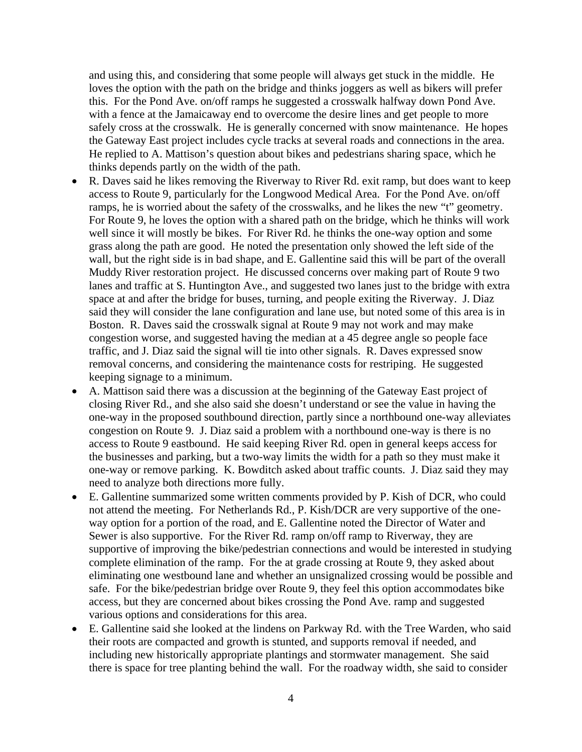and using this, and considering that some people will always get stuck in the middle. He loves the option with the path on the bridge and thinks joggers as well as bikers will prefer this. For the Pond Ave. on/off ramps he suggested a crosswalk halfway down Pond Ave. with a fence at the Jamaicaway end to overcome the desire lines and get people to more safely cross at the crosswalk. He is generally concerned with snow maintenance. He hopes the Gateway East project includes cycle tracks at several roads and connections in the area. He replied to A. Mattison's question about bikes and pedestrians sharing space, which he thinks depends partly on the width of the path.

- R. Daves said he likes removing the Riverway to River Rd. exit ramp, but does want to keep access to Route 9, particularly for the Longwood Medical Area. For the Pond Ave. on/off ramps, he is worried about the safety of the crosswalks, and he likes the new "t" geometry. For Route 9, he loves the option with a shared path on the bridge, which he thinks will work well since it will mostly be bikes. For River Rd. he thinks the one-way option and some grass along the path are good. He noted the presentation only showed the left side of the wall, but the right side is in bad shape, and E. Gallentine said this will be part of the overall Muddy River restoration project. He discussed concerns over making part of Route 9 two lanes and traffic at S. Huntington Ave., and suggested two lanes just to the bridge with extra space at and after the bridge for buses, turning, and people exiting the Riverway. J. Diaz said they will consider the lane configuration and lane use, but noted some of this area is in Boston. R. Daves said the crosswalk signal at Route 9 may not work and may make congestion worse, and suggested having the median at a 45 degree angle so people face traffic, and J. Diaz said the signal will tie into other signals. R. Daves expressed snow removal concerns, and considering the maintenance costs for restriping. He suggested keeping signage to a minimum.
- A. Mattison said there was a discussion at the beginning of the Gateway East project of closing River Rd., and she also said she doesn't understand or see the value in having the one-way in the proposed southbound direction, partly since a northbound one-way alleviates congestion on Route 9. J. Diaz said a problem with a northbound one-way is there is no access to Route 9 eastbound. He said keeping River Rd. open in general keeps access for the businesses and parking, but a two-way limits the width for a path so they must make it one-way or remove parking. K. Bowditch asked about traffic counts. J. Diaz said they may need to analyze both directions more fully.
- E. Gallentine summarized some written comments provided by P. Kish of DCR, who could not attend the meeting. For Netherlands Rd., P. Kish/DCR are very supportive of the oneway option for a portion of the road, and E. Gallentine noted the Director of Water and Sewer is also supportive. For the River Rd. ramp on/off ramp to Riverway, they are supportive of improving the bike/pedestrian connections and would be interested in studying complete elimination of the ramp. For the at grade crossing at Route 9, they asked about eliminating one westbound lane and whether an unsignalized crossing would be possible and safe. For the bike/pedestrian bridge over Route 9, they feel this option accommodates bike access, but they are concerned about bikes crossing the Pond Ave. ramp and suggested various options and considerations for this area.
- E. Gallentine said she looked at the lindens on Parkway Rd. with the Tree Warden, who said their roots are compacted and growth is stunted, and supports removal if needed, and including new historically appropriate plantings and stormwater management. She said there is space for tree planting behind the wall. For the roadway width, she said to consider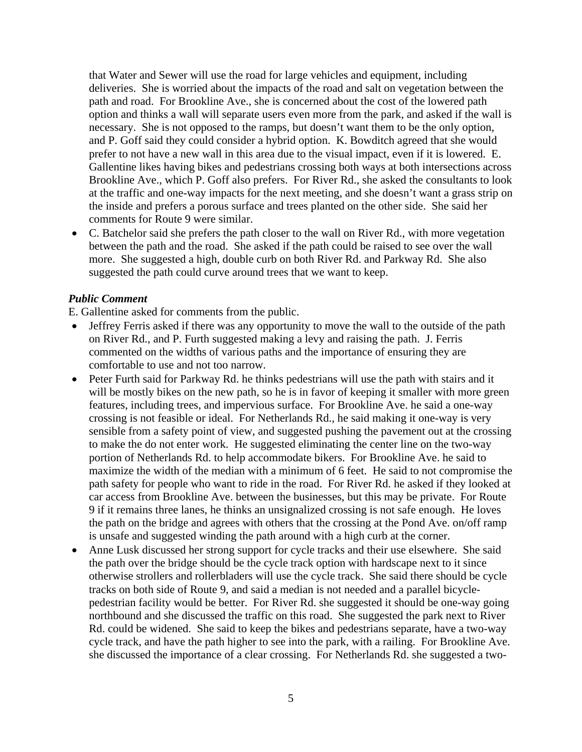that Water and Sewer will use the road for large vehicles and equipment, including deliveries. She is worried about the impacts of the road and salt on vegetation between the path and road. For Brookline Ave., she is concerned about the cost of the lowered path option and thinks a wall will separate users even more from the park, and asked if the wall is necessary. She is not opposed to the ramps, but doesn't want them to be the only option, and P. Goff said they could consider a hybrid option. K. Bowditch agreed that she would prefer to not have a new wall in this area due to the visual impact, even if it is lowered. E. Gallentine likes having bikes and pedestrians crossing both ways at both intersections across Brookline Ave., which P. Goff also prefers. For River Rd., she asked the consultants to look at the traffic and one-way impacts for the next meeting, and she doesn't want a grass strip on the inside and prefers a porous surface and trees planted on the other side. She said her comments for Route 9 were similar.

 C. Batchelor said she prefers the path closer to the wall on River Rd., with more vegetation between the path and the road. She asked if the path could be raised to see over the wall more. She suggested a high, double curb on both River Rd. and Parkway Rd. She also suggested the path could curve around trees that we want to keep.

#### *Public Comment*

E. Gallentine asked for comments from the public.

- Jeffrey Ferris asked if there was any opportunity to move the wall to the outside of the path on River Rd., and P. Furth suggested making a levy and raising the path. J. Ferris commented on the widths of various paths and the importance of ensuring they are comfortable to use and not too narrow.
- Peter Furth said for Parkway Rd. he thinks pedestrians will use the path with stairs and it will be mostly bikes on the new path, so he is in favor of keeping it smaller with more green features, including trees, and impervious surface. For Brookline Ave. he said a one-way crossing is not feasible or ideal. For Netherlands Rd., he said making it one-way is very sensible from a safety point of view, and suggested pushing the pavement out at the crossing to make the do not enter work. He suggested eliminating the center line on the two-way portion of Netherlands Rd. to help accommodate bikers. For Brookline Ave. he said to maximize the width of the median with a minimum of 6 feet. He said to not compromise the path safety for people who want to ride in the road. For River Rd. he asked if they looked at car access from Brookline Ave. between the businesses, but this may be private. For Route 9 if it remains three lanes, he thinks an unsignalized crossing is not safe enough. He loves the path on the bridge and agrees with others that the crossing at the Pond Ave. on/off ramp is unsafe and suggested winding the path around with a high curb at the corner.
- Anne Lusk discussed her strong support for cycle tracks and their use elsewhere. She said the path over the bridge should be the cycle track option with hardscape next to it since otherwise strollers and rollerbladers will use the cycle track. She said there should be cycle tracks on both side of Route 9, and said a median is not needed and a parallel bicyclepedestrian facility would be better. For River Rd. she suggested it should be one-way going northbound and she discussed the traffic on this road. She suggested the park next to River Rd. could be widened. She said to keep the bikes and pedestrians separate, have a two-way cycle track, and have the path higher to see into the park, with a railing. For Brookline Ave. she discussed the importance of a clear crossing. For Netherlands Rd. she suggested a two-